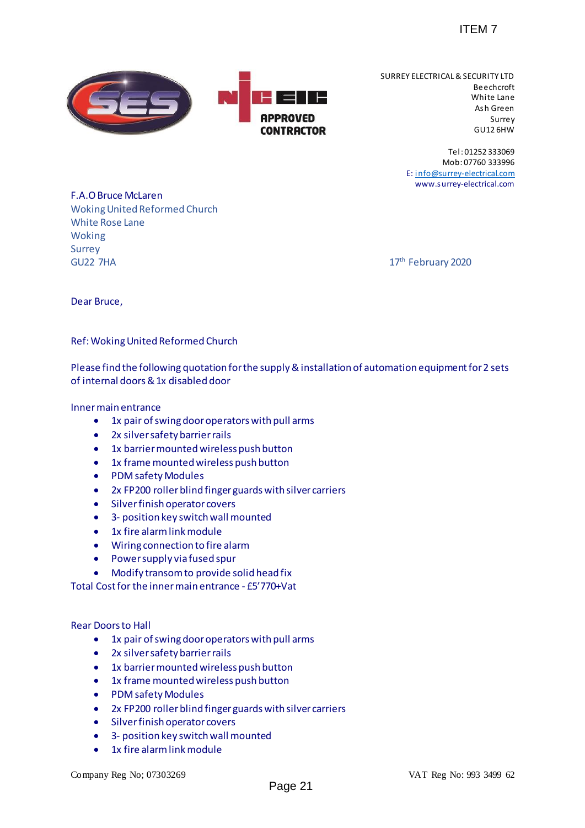

 SURREY ELECTRICAL & SECURITY LTD Beechcroft White Lane Ash Green Surrey GU12 6HW FIEM 7<br>
SURREY ELECTRICAL & SECURITY<br>
Which shows<br>
Sure<br>
The i-01252 38<br>
For the Manufactical<br>
Sure<br>
The i-01252 38<br>
For the Manufactical<br>
The information of automation equipment for 2 set<br>
WWW.SURPERTERT 17<sup>th</sup> February 2

Tel: 01252 333069 Mob: 07760 333996 E: [info@surrey-electrical.com](mailto:info@surrey-electrical.com) www.surrey-electrical.com

F.A.O Bruce McLaren Woking United Reformed Church White Rose Lane Woking Surrey **GU22 7HA** 

17<sup>th</sup> February 2020

Dear Bruce,

Ref: Woking United Reformed Church

Please find the following quotation for the supply & installation of automation equipment for 2 sets of internal doors & 1x disabled door

## Inner main entrance

- 1x pair of swing door operators with pull arms
- 2x silver safety barrier rails
- 1x barrier mounted wireless push button
- 1x frame mounted wireless push button
- PDM safety Modules
- 2x FP200 roller blind finger guards with silver carriers
- **•** Silver finish operator covers
- 3- position key switch wall mounted
- 1x fire alarm link module
- Wiring connection to fire alarm
- Power supply via fused spur
- Modify transom to provide solid head fix

Total Cost for the inner main entrance - £5'770+Vat

Rear Doors to Hall

- 1x pair of swing door operators with pull arms
- 2x silver safety barrier rails
- 1x barrier mounted wireless push button
- 1x frame mounted wireless push button
- PDM safety Modules
- 2x FP200 roller blind finger guards with silver carriers
- **•** Silver finish operator covers
- 3- position key switch wall mounted
- 1x fire alarm link module